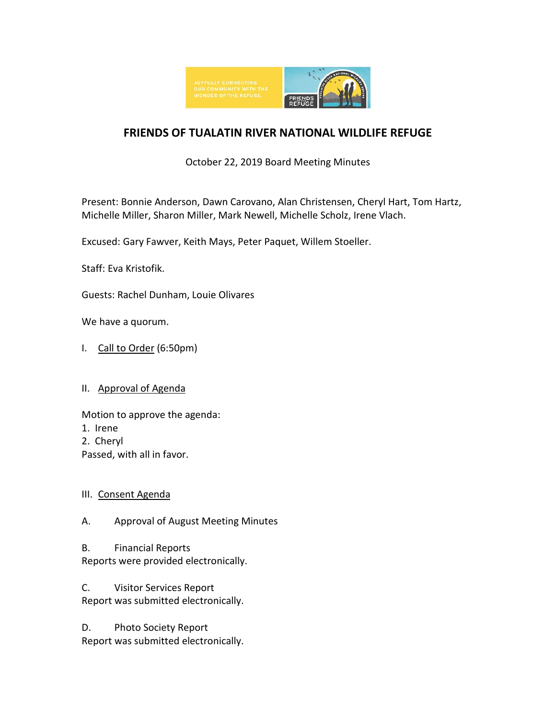

# **FRIENDS OF TUALATIN RIVER NATIONAL WILDLIFE REFUGE**

# October 22, 2019 Board Meeting Minutes

Present: Bonnie Anderson, Dawn Carovano, Alan Christensen, Cheryl Hart, Tom Hartz, Michelle Miller, Sharon Miller, Mark Newell, Michelle Scholz, Irene Vlach.

Excused: Gary Fawver, Keith Mays, Peter Paquet, Willem Stoeller.

Staff: Eva Kristofik.

Guests: Rachel Dunham, Louie Olivares

We have a quorum.

I. Call to Order (6:50pm)

## II. Approval of Agenda

Motion to approve the agenda:

- 1. Irene
- 2. Cheryl
- Passed, with all in favor.

## III. Consent Agenda

A. Approval of August Meeting Minutes

B. Financial Reports Reports were provided electronically.

C. Visitor Services Report Report was submitted electronically.

D. Photo Society Report Report was submitted electronically.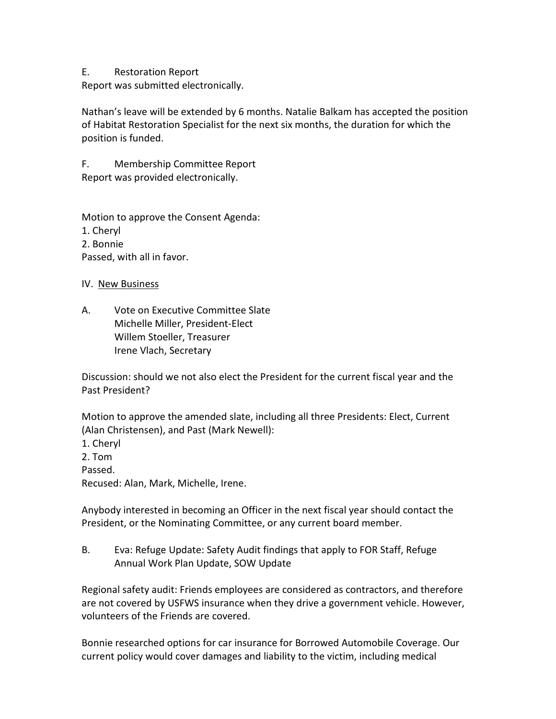#### E. Restoration Report

Report was submitted electronically.

Nathan's leave will be extended by 6 months. Natalie Balkam has accepted the position of Habitat Restoration Specialist for the next six months, the duration for which the position is funded.

F. Membership Committee Report Report was provided electronically.

Motion to approve the Consent Agenda: 1. Cheryl 2. Bonnie Passed, with all in favor.

- IV. New Business
- A. Vote on Executive Committee Slate Michelle Miller, President-Elect Willem Stoeller, Treasurer Irene Vlach, Secretary

Discussion: should we not also elect the President for the current fiscal year and the Past President?

Motion to approve the amended slate, including all three Presidents: Elect, Current (Alan Christensen), and Past (Mark Newell):

1. Cheryl 2. Tom Passed. Recused: Alan, Mark, Michelle, Irene.

Anybody interested in becoming an Officer in the next fiscal year should contact the President, or the Nominating Committee, or any current board member.

B. Eva: Refuge Update: Safety Audit findings that apply to FOR Staff, Refuge Annual Work Plan Update, SOW Update

Regional safety audit: Friends employees are considered as contractors, and therefore are not covered by USFWS insurance when they drive a government vehicle. However, volunteers of the Friends are covered.

Bonnie researched options for car insurance for Borrowed Automobile Coverage. Our current policy would cover damages and liability to the victim, including medical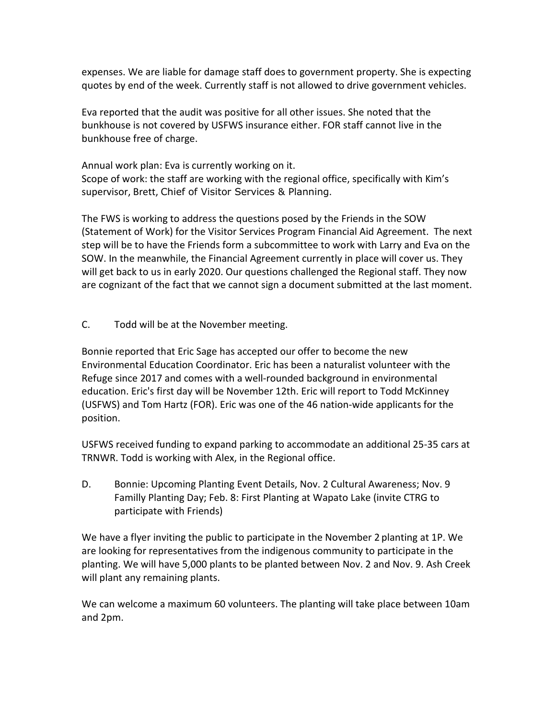expenses. We are liable for damage staff does to government property. She is expecting quotes by end of the week. Currently staff is not allowed to drive government vehicles.

Eva reported that the audit was positive for all other issues. She noted that the bunkhouse is not covered by USFWS insurance either. FOR staff cannot live in the bunkhouse free of charge.

Annual work plan: Eva is currently working on it. Scope of work: the staff are working with the regional office, specifically with Kim's supervisor, Brett, Chief of Visitor Services & Planning.

The FWS is working to address the questions posed by the Friends in the SOW (Statement of Work) for the Visitor Services Program Financial Aid Agreement. The next step will be to have the Friends form a subcommittee to work with Larry and Eva on the SOW. In the meanwhile, the Financial Agreement currently in place will cover us. They will get back to us in early 2020. Our questions challenged the Regional staff. They now are cognizant of the fact that we cannot sign a document submitted at the last moment.

C. Todd will be at the November meeting.

Bonnie reported that Eric Sage has accepted our offer to become the new Environmental Education Coordinator. Eric has been a naturalist volunteer with the Refuge since 2017 and comes with a well-rounded background in environmental education. Eric's first day will be November 12th. Eric will report to Todd McKinney (USFWS) and Tom Hartz (FOR). Eric was one of the 46 nation-wide applicants for the position.

USFWS received funding to expand parking to accommodate an additional 25-35 cars at TRNWR. Todd is working with Alex, in the Regional office.

D. Bonnie: Upcoming Planting Event Details, Nov. 2 Cultural Awareness; Nov. 9 Familly Planting Day; Feb. 8: First Planting at Wapato Lake (invite CTRG to participate with Friends)

We have a flyer inviting the public to participate in the November 2 planting at 1P. We are looking for representatives from the indigenous community to participate in the planting. We will have 5,000 plants to be planted between Nov. 2 and Nov. 9. Ash Creek will plant any remaining plants.

We can welcome a maximum 60 volunteers. The planting will take place between 10am and 2pm.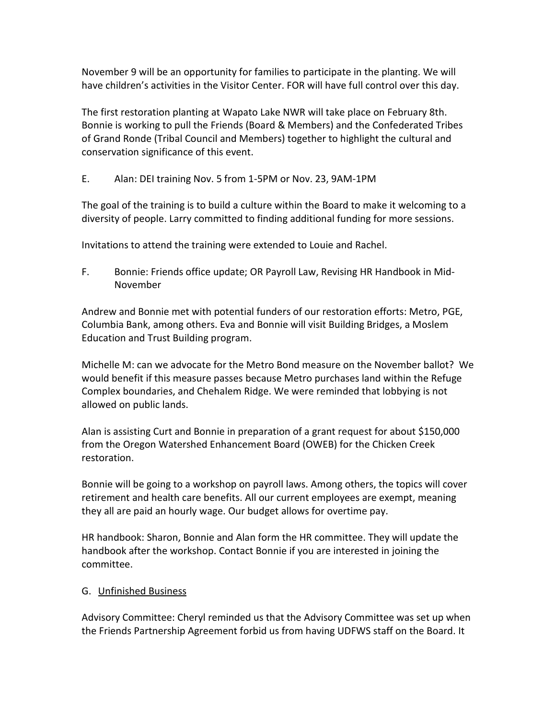November 9 will be an opportunity for families to participate in the planting. We will have children's activities in the Visitor Center. FOR will have full control over this day.

The first restoration planting at Wapato Lake NWR will take place on February 8th. Bonnie is working to pull the Friends (Board & Members) and the Confederated Tribes of Grand Ronde (Tribal Council and Members) together to highlight the cultural and conservation significance of this event.

E. Alan: DEI training Nov. 5 from 1-5PM or Nov. 23, 9AM-1PM

The goal of the training is to build a culture within the Board to make it welcoming to a diversity of people. Larry committed to finding additional funding for more sessions.

Invitations to attend the training were extended to Louie and Rachel.

F. Bonnie: Friends office update; OR Payroll Law, Revising HR Handbook in Mid-November

Andrew and Bonnie met with potential funders of our restoration efforts: Metro, PGE, Columbia Bank, among others. Eva and Bonnie will visit Building Bridges, a Moslem Education and Trust Building program.

Michelle M: can we advocate for the Metro Bond measure on the November ballot? We would benefit if this measure passes because Metro purchases land within the Refuge Complex boundaries, and Chehalem Ridge. We were reminded that lobbying is not allowed on public lands.

Alan is assisting Curt and Bonnie in preparation of a grant request for about \$150,000 from the Oregon Watershed Enhancement Board (OWEB) for the Chicken Creek restoration.

Bonnie will be going to a workshop on payroll laws. Among others, the topics will cover retirement and health care benefits. All our current employees are exempt, meaning they all are paid an hourly wage. Our budget allows for overtime pay.

HR handbook: Sharon, Bonnie and Alan form the HR committee. They will update the handbook after the workshop. Contact Bonnie if you are interested in joining the committee.

## G. Unfinished Business

Advisory Committee: Cheryl reminded us that the Advisory Committee was set up when the Friends Partnership Agreement forbid us from having UDFWS staff on the Board. It